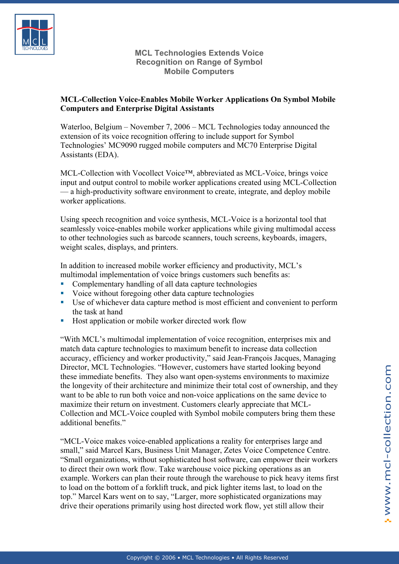

**MCL Technologies Extends Voice Recognition on Range of Symbol Mobile Computers** 

## **MCL-Collection Voice-Enables Mobile Worker Applications On Symbol Mobile Computers and Enterprise Digital Assistants**

Waterloo, Belgium – November 7, 2006 – MCL Technologies today announced the extension of its voice recognition offering to include support for Symbol Technologies' MC9090 rugged mobile computers and MC70 Enterprise Digital Assistants (EDA).

MCL-Collection with Vocollect Voice™, abbreviated as MCL-Voice, brings voice input and output control to mobile worker applications created using MCL-Collection — a high-productivity software environment to create, integrate, and deploy mobile worker applications.

Using speech recognition and voice synthesis, MCL-Voice is a horizontal tool that seamlessly voice-enables mobile worker applications while giving multimodal access to other technologies such as barcode scanners, touch screens, keyboards, imagers, weight scales, displays, and printers.

In addition to increased mobile worker efficiency and productivity, MCL's multimodal implementation of voice brings customers such benefits as:

- Complementary handling of all data capture technologies
- voice without foregoing other data capture technologies
- Use of whichever data capture method is most efficient and convenient to perform the task at hand
- Host application or mobile worker directed work flow

"With MCL's multimodal implementation of voice recognition, enterprises mix and match data capture technologies to maximum benefit to increase data collection accuracy, efficiency and worker productivity," said Jean-François Jacques, Managing Director, MCL Technologies. "However, customers have started looking beyond these immediate benefits. They also want open-systems environments to maximize the longevity of their architecture and minimize their total cost of ownership, and they want to be able to run both voice and non-voice applications on the same device to maximize their return on investment. Customers clearly appreciate that MCL-Collection and MCL-Voice coupled with Symbol mobile computers bring them these additional benefits."

"MCL-Voice makes voice-enabled applications a reality for enterprises large and small," said Marcel Kars, Business Unit Manager, Zetes Voice Competence Centre. "Small organizations, without sophisticated host software, can empower their workers to direct their own work flow. Take warehouse voice picking operations as an example. Workers can plan their route through the warehouse to pick heavy items first to load on the bottom of a forklift truck, and pick lighter items last, to load on the top." Marcel Kars went on to say, "Larger, more sophisticated organizations may drive their operations primarily using host directed work flow, yet still allow their